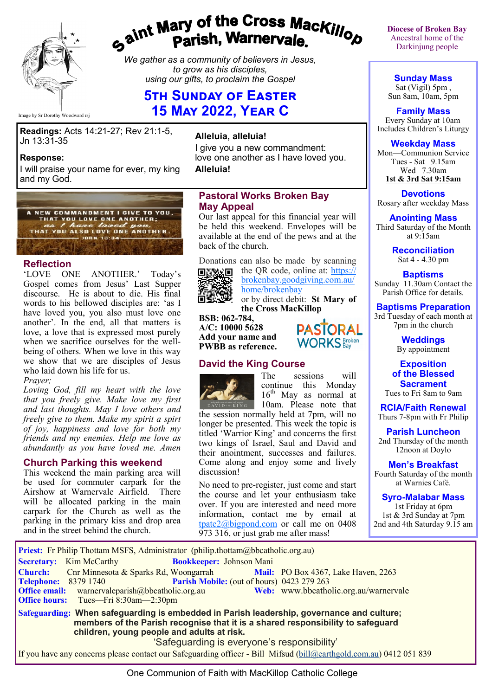

# gaint Mary of the Cross Mackillop<br>Parish, Warnervale.

*We gather as a community of believers in Jesus, to grow as his disciples, using our gifts, to proclaim the Gospel*

# **5th Sunday of Easter 15 May 2022, Year C**

Image by Sr Dorothy Woodward rsj

**Readings:** Acts 14:21-27; Rev 21:1-5, Jn 13:31-35

#### **Response:**

I will praise your name for ever, my king and my God.



#### **Reflection**

'LOVE ONE ANOTHER.' Today's Gospel comes from Jesus' Last Supper discourse. He is about to die. His final words to his bellowed disciples are: 'as I have loved you, you also must love one another'. In the end, all that matters is love, a love that is expressed most purely when we sacrifice ourselves for the wellbeing of others. When we love in this way we show that we are disciples of Jesus who laid down his life for us.

#### *Prayer;*

*Loving God, fill my heart with the love that you freely give. Make love my first and last thoughts. May I love others and freely give to them. Make my spirit a spirt of joy, happiness and love for both my friends and my enemies. Help me love as abundantly as you have loved me. Amen*

#### **Church Parking this weekend**

This weekend the main parking area will be used for commuter carpark for the Airshow at Warnervale Airfield. There will be allocated parking in the main carpark for the Church as well as the parking in the primary kiss and drop area and in the street behind the church.

#### **Alleluia, alleluia!**

I give you a new commandment: love one another as I have loved you. **Alleluia!**

#### **Pastoral Works Broken Bay May Appeal**

Our last appeal for this financial year will be held this weekend. Envelopes will be available at the end of the pews and at the back of the church.

Donations can also be made by scanning the QR code, online at: [https://](https://brokenbay.goodgiving.com.au/home/brokenbay)



[brokenbay.goodgiving.com.au/](https://brokenbay.goodgiving.com.au/home/brokenbay) [home/brokenbay](https://brokenbay.goodgiving.com.au/home/brokenbay) or by direct debit: **St Mary of** 

**the Cross MacKillop BSB: 062-784,** 

**A/C: 10000 5628 Add your name and PWBB as reference.** 

#### **David the King Course**



The sessions will continue this Monday  $16^{\rm th}$  May as normal at DAVIDING 10am. Please note that

**PASTORAL WORKS** Broken

the session normally held at 7pm, will no longer be presented. This week the topic is titled 'Warrior King' and concerns the first two kings of Israel, Saul and David and their anointment, successes and failures. Come along and enjoy some and lively discussion!

No need to pre-register, just come and start the course and let your enthusiasm take over. If you are interested and need more information, contact me by email at [tpate2@bigpond.com](mailto:tpate2@bigpond.com) or call me on 0408 973 316, or just grab me after mass!

**Diocese of Broken Bay**  Ancestral home of the Darkinjung people

**Sunday Mass** Sat (Vigil) 5pm, Sun 8am, 10am, 5pm

**Family Mass**  Every Sunday at 10am Includes Children's Liturgy

#### **Weekday Mass**

Mon—Communion Service Tues - Sat 9.15am Wed 7.30am **1st & 3rd Sat 9:15am**

**Devotions** Rosary after weekday Mass

**Anointing Mass** Third Saturday of the Month at 9:15am

> **Reconciliation** Sat 4 - 4.30 pm

#### **Baptisms**

Sunday 11.30am Contact the Parish Office for details.

**Baptisms Preparation** 3rd Tuesday of each month at

7pm in the church

**Weddings**  By appointment

**Exposition of the Blessed Sacrament** Tues to Fri 8am to 9am

**RCIA/Faith Renewal** 

Thurs 7-8pm with Fr Philip

**Parish Luncheon** 2nd Thursday of the month 12noon at Doylo

**Men's Breakfast** Fourth Saturday of the month

at Warnies Café.

**Syro-Malabar Mass**

1st Friday at 6pm 1st & 3rd Sunday at 7pm 2nd and 4th Saturday 9.15 am

| Priest: Fr Philip Thottam MSFS, Administrator (philip.thottam@bbcatholic.org.au)                                                                                                                                                                                          |                                       |
|---------------------------------------------------------------------------------------------------------------------------------------------------------------------------------------------------------------------------------------------------------------------------|---------------------------------------|
| <b>Secretary:</b> Kim McCarthy<br><b>Bookkeeper: Johnson Mani</b>                                                                                                                                                                                                         |                                       |
| <b>Church:</b> Chr Minnesota & Sparks Rd, Woongarrah Mail: PO Box 4367, Lake Haven, 2263                                                                                                                                                                                  |                                       |
| <b>Parish Mobile:</b> (out of hours) 0423 279 263<br><b>Telephone: 8379 1740</b>                                                                                                                                                                                          |                                       |
| <b>Office email:</b> warnervaleparish@bbcatholic.org.au                                                                                                                                                                                                                   | Web: www.bbcatholic.org.au/warnervale |
| <b>Office hours:</b> Tues—Fri 8:30am—2:30pm                                                                                                                                                                                                                               |                                       |
| Safeguarding: When safeguarding is embedded in Parish leadership, governance and culture;<br>members of the Parish recognise that it is a shared responsibility to safeguard<br>children, young people and adults at risk.<br>'Safequarding is everyone's responsibility' |                                       |
|                                                                                                                                                                                                                                                                           |                                       |

Safeguarding is everyone's responsibility

If you have any concerns please contact our Safeguarding officer - Bill Mifsud ([bill@earthgold.com.au\)](mailto:bill@earthgold.com.au) 0412 051 839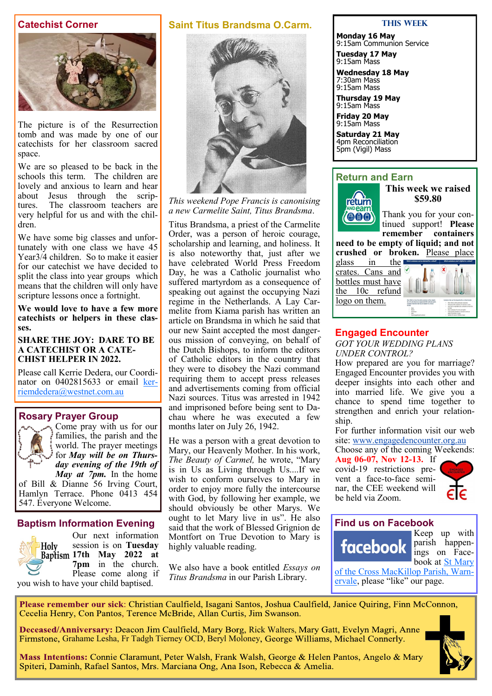#### **Catechist Corner**



The picture is of the Resurrection tomb and was made by one of our catechists for her classroom sacred space.

We are so pleased to be back in the schools this term. The children are lovely and anxious to learn and hear about Jesus through the scrip-<br>tures. The classroom teachers are The classroom teachers are very helpful for us and with the children.

We have some big classes and unfortunately with one class we have 45 Year3/4 children. So to make it easier for our catechist we have decided to split the class into year groups which means that the children will only have scripture lessons once a fortnight.

**We would love to have a few more catechists or helpers in these classes.**

#### **SHARE THE JOY: DARE TO BE A CATECHIST OR A CATE-CHIST HELPER IN 2022.**

Please call Kerrie Dedera, our Coordinator on 0402815633 or email [ker](mailto:kerriemdedera@westnet.com.au)[riemdedera@westnet.com.au](mailto:kerriemdedera@westnet.com.au)

#### **Rosary Prayer Group**



Come pray with us for our families, the parish and the world. The prayer meetings for *May will be on Thursday evening of the 19th of May at 7pm.* In the home

of Bill & Dianne 56 Irving Court, Hamlyn Terrace. Phone 0413 454 547. Everyone Welcome.

#### **Baptism Information Evening**

you wish to have your child baptised.

Our next information session is on **Tuesday**  Holy **17th May 2022 at 7pm** in the church. Please come along if

#### **Saint Titus Brandsma O.Carm.**



*This weekend Pope Francis is canonising a new Carmelite Saint, Titus Brandsma*.

Titus Brandsma, a priest of the Carmelite Order, was a person of heroic courage, scholarship and learning, and holiness. It is also noteworthy that, just after we have celebrated World Press Freedom Day, he was a Catholic journalist who suffered martyrdom as a consequence of speaking out against the occupying Nazi regime in the Netherlands. A Lay Carmelite from Kiama parish has written an article on Brandsma in which he said that our new Saint accepted the most dangerous mission of conveying, on behalf of the Dutch Bishops, to inform the editors of Catholic editors in the country that they were to disobey the Nazi command requiring them to accept press releases and advertisements coming from official Nazi sources. Titus was arrested in 1942 and imprisoned before being sent to Dachau where he was executed a few months later on July 26, 1942.

He was a person with a great devotion to Mary, our Heavenly Mother. In his work, *The Beauty of Carmel,* he wrote, "Mary is in Us as Living through Us....If we wish to conform ourselves to Mary in order to enjoy more fully the intercourse with God, by following her example, we should obviously be other Marys. We ought to let Mary live in us". He also said that the work of Blessed Grignion de Montfort on True Devotion to Mary is highly valuable reading.

We also have a book entitled *Essays on Titus Brandsma* in our Parish Library.

#### **This Week**

**Monday 16 May** 9:15am Communion Service

**Tuesday 17 May** 9:15am Mass

**Wednesday 18 May** 7:30am Mass 9:15am Mass

**Thursday 19 May** 9:15am Mass **Friday 20 May**

9:15am Mass

**Saturday 21 May** 4pm Reconciliation 5pm (Vigil) Mass

#### **Return and Earn**



**This week we raised \$59.80**

Thank you for your continued support! **Please remember containers need to be empty of liquid; and not** 

**crushed or broken.** Please place glass in the

crates. Cans and bottles must have the 10c refund logo on them.



#### **Engaged Encounter**

*GOT YOUR WEDDING PLANS UNDER CONTROL?*

How prepared are you for marriage? Engaged Encounter provides you with deeper insights into each other and into married life. We give you a chance to spend time together to strengthen and enrich your relationship.

For further information visit our web site: [www.engagedencounter.org.au](https://bbcatholic.us8.list-manage.com/track/click?u=466af249e088db70ab864d088&id=4702617a59&e=e312df0f80)

Choose any of the coming Weekends: **Aug 06-07, Nov 12-13.** If

covid-19 restrictions prevent a face-to-face seminar, the CEE weekend will be held via Zoom.



#### **Find us on Facebook**

facebook

Keep up with parish happenings on Facebook at St Mary

[of the Cross MacKillop Parish, Warn](https://www.facebook.com/MacKillopParishWarnervale)[ervale,](https://www.facebook.com/MacKillopParishWarnervale) please "like" our page.

Please remember our sick: Christian Caulfield, Isagani Santos, Joshua Caulfield, Janice Quiring, Finn McConnon, Cecelia Henry, Con Pantos, Terence McBride, Allan Curtis, Jim Swanson.

Deceased/Anniversary: Deacon Jim Caulfield, Mary Borg, Rick Walters, Mary Gatt, Evelyn Magri, Anne Firmstone, Grahame Lesha, Fr Tadgh Tierney OCD, Beryl Moloney, George Williams, Michael Connerly.



Mass Intentions: Connie Claramunt, Peter Walsh, Frank Walsh, George & Helen Pantos, Angelo & Mary Spiteri, Daminh, Rafael Santos, Mrs. Marciana Ong, Ana Ison, Rebecca & Amelia.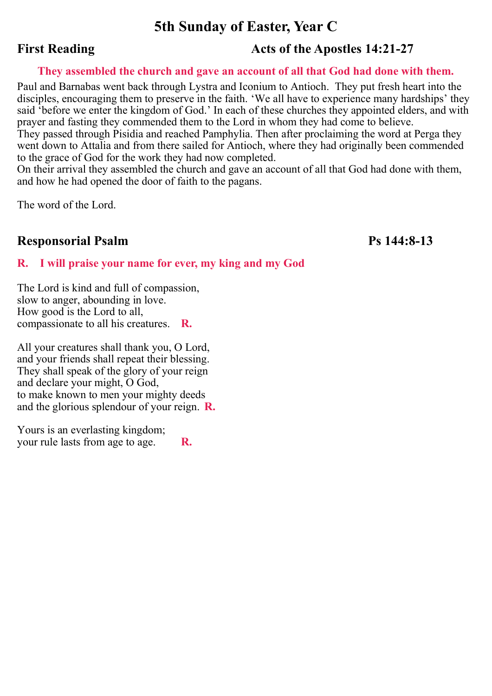# **5th Sunday of Easter, Year C**

# **First Reading Acts of the Apostles 14:21-27**

#### **They assembled the church and gave an account of all that God had done with them.**

Paul and Barnabas went back through Lystra and Iconium to Antioch. They put fresh heart into the disciples, encouraging them to preserve in the faith. 'We all have to experience many hardships' they said 'before we enter the kingdom of God.' In each of these churches they appointed elders, and with prayer and fasting they commended them to the Lord in whom they had come to believe.

They passed through Pisidia and reached Pamphylia. Then after proclaiming the word at Perga they went down to Attalia and from there sailed for Antioch, where they had originally been commended to the grace of God for the work they had now completed.

On their arrival they assembled the church and gave an account of all that God had done with them, and how he had opened the door of faith to the pagans.

The word of the Lord.

## **Responsorial Psalm Ps 144:8-13**

#### **R. I will praise your name for ever, my king and my God**

The Lord is kind and full of compassion, slow to anger, abounding in love. How good is the Lord to all, compassionate to all his creatures. **R.**

All your creatures shall thank you, O Lord, and your friends shall repeat their blessing. They shall speak of the glory of your reign and declare your might, O God, to make known to men your mighty deeds and the glorious splendour of your reign. **R.**

Yours is an everlasting kingdom; your rule lasts from age to age. **R.**